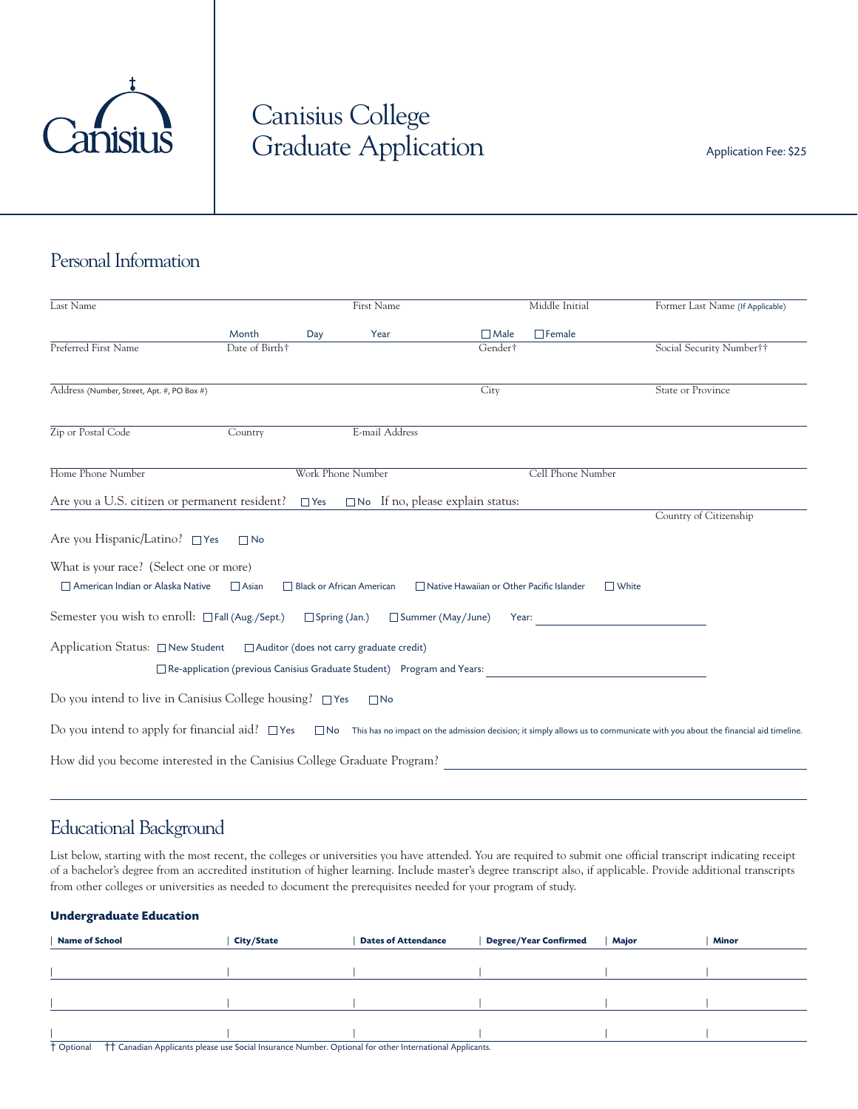

# Canisius College Graduate Application Application Application Fee: \$25

## Personal Information

| Last Name                                                                                                                                                                                        |                | <b>First Name</b>         |                                                                          |                                                    | Middle Initial    | Former Last Name (If Applicable) |  |
|--------------------------------------------------------------------------------------------------------------------------------------------------------------------------------------------------|----------------|---------------------------|--------------------------------------------------------------------------|----------------------------------------------------|-------------------|----------------------------------|--|
|                                                                                                                                                                                                  | Month          | Day                       | Year                                                                     | $\Box$ Male                                        | $\Box$ Female     |                                  |  |
| Preferred First Name                                                                                                                                                                             | Date of Birth† |                           |                                                                          | Gender†                                            |                   | Social Security Number††         |  |
| Address (Number, Street, Apt. #, PO Box #)                                                                                                                                                       |                |                           |                                                                          | City                                               |                   | State or Province                |  |
| Zip or Postal Code                                                                                                                                                                               | Country        |                           | E-mail Address                                                           |                                                    |                   |                                  |  |
| Home Phone Number                                                                                                                                                                                |                | Work Phone Number         |                                                                          |                                                    | Cell Phone Number |                                  |  |
| Are you a U.S. citizen or permanent resident? $\Box$ Yes $\Box$ No If no, please explain status:                                                                                                 |                |                           |                                                                          |                                                    |                   |                                  |  |
| Are you Hispanic/Latino? □ Yes<br>What is your race? (Select one or more)                                                                                                                        | $\Box$ No      |                           |                                                                          |                                                    |                   | Country of Citizenship           |  |
| American Indian or Alaska Native<br>Semester you wish to enroll: $\Box$ Fall (Aug./Sept.) $\Box$ Spring (Jan.)                                                                                   | $\Box$ Asian   | Black or African American | Summer (May/June)                                                        | Native Hawaiian or Other Pacific Islander<br>Year: | $\Box$ White      |                                  |  |
| Application Status: □ New Student □ Auditor (does not carry graduate credit)                                                                                                                     |                |                           | □ Re-application (previous Canisius Graduate Student) Program and Years: |                                                    |                   |                                  |  |
| Do you intend to live in Canisius College housing? □ Yes                                                                                                                                         |                |                           | $\Box$ No                                                                |                                                    |                   |                                  |  |
| Do you intend to apply for financial aid? $\square$ Yes $\square$ No This has no impact on the admission decision; it simply allows us to communicate with you about the financial aid timeline. |                |                           |                                                                          |                                                    |                   |                                  |  |
| How did you become interested in the Canisius College Graduate Program?                                                                                                                          |                |                           |                                                                          |                                                    |                   |                                  |  |

### Educational Background

List below, starting with the most recent, the colleges or universities you have attended. You are required to submit one official transcript indicating receipt of a bachelor's degree from an accredited institution of higher learning. Include master's degree transcript also, if applicable. Provide additional transcripts from other colleges or universities as needed to document the prerequisites needed for your program of study.

#### **Undergraduate Education**

| <b>Name of School</b> |                                                                                                                     | <b>City/State</b> | <b>Dates of Attendance</b> | <b>Degree/Year Confirmed</b> | Major | <b>Minor</b> |
|-----------------------|---------------------------------------------------------------------------------------------------------------------|-------------------|----------------------------|------------------------------|-------|--------------|
|                       |                                                                                                                     |                   |                            |                              |       |              |
|                       |                                                                                                                     |                   |                            |                              |       |              |
|                       |                                                                                                                     |                   |                            |                              |       |              |
|                       |                                                                                                                     |                   |                            |                              |       |              |
|                       |                                                                                                                     |                   |                            |                              |       |              |
|                       |                                                                                                                     |                   |                            |                              |       |              |
| <sup>†</sup> Optional | <sup>†</sup> † Canadian Applicants please use Social Insurance Number. Optional for other International Applicants. |                   |                            |                              |       |              |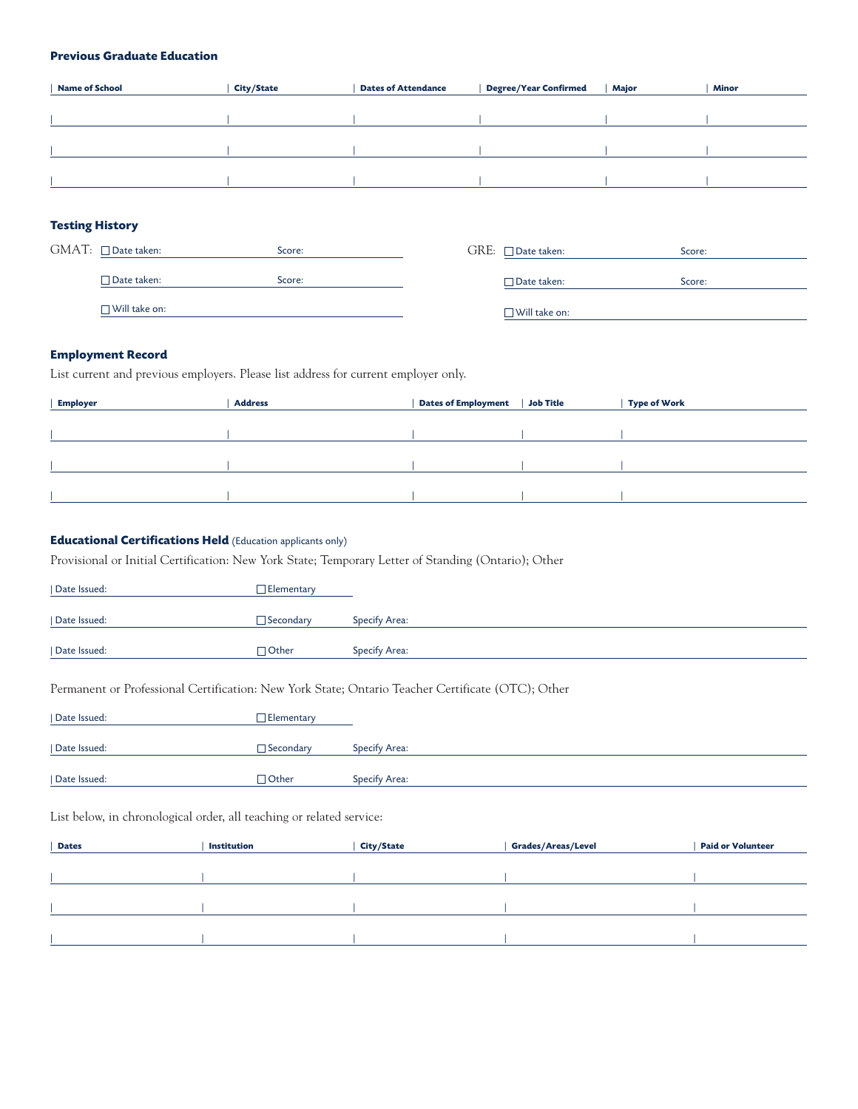#### **Previous Graduate Education**

| <b>Name of School</b> | <b>City/State</b> | <b>Dates of Attendance</b> | <b>Degree/Year Confirmed</b> | Major | <b>Minor</b> |
|-----------------------|-------------------|----------------------------|------------------------------|-------|--------------|
|                       |                   |                            |                              |       |              |
|                       |                   |                            |                              |       |              |
|                       |                   |                            |                              |       |              |
|                       |                   |                            |                              |       |              |
|                       |                   |                            |                              |       |              |
|                       |                   |                            |                              |       |              |

#### **Testing History**

| $GMAT: \Box$ Date taken: | Score: | $\text{GRE:}$ $\Box$ Date taken: | Score: |
|--------------------------|--------|----------------------------------|--------|
| □ Date taken:            | Score: | $\Box$ Date taken:               | Score: |
| $\Box$ Will take on:     |        | $\Box$ Will take on:             |        |

#### **Employment Record**

List current and previous employers. Please list address for current employer only.

| <b>Employer</b> | <b>Address</b> | <b>Dates of Employment</b> | Job Title | <b>Type of Work</b> |
|-----------------|----------------|----------------------------|-----------|---------------------|
|                 |                |                            |           |                     |
|                 |                |                            |           |                     |
|                 |                |                            |           |                     |
|                 |                |                            |           |                     |
|                 |                |                            |           |                     |
|                 |                |                            |           |                     |
|                 |                |                            |           |                     |

#### **Educational Certifications Held** (Education applicants only)

Provisional or Initial Certification: New York State; Temporary Letter of Standing (Ontario); Other

| Date Issued: | Elementary       |                      |
|--------------|------------------|----------------------|
| Date Issued: | $\Box$ Secondary | Specify Area:        |
| Date Issued: | $\Box$ Other     | <b>Specify Area:</b> |

#### Permanent or Professional Certification: New York State; Ontario Teacher Certificate (OTC); Other

| Date Issued: | $\Box$ Elementary |               |
|--------------|-------------------|---------------|
| Date Issued: | $\Box$ Secondary  | Specify Area: |
| Date Issued: | $\sqcap$ Other    | Specify Area: |

List below, in chronological order, all teaching or related service:

| <b>Dates</b> | Institution | <b>City/State</b> | <b>Grades/Areas/Level</b> | <b>Paid or Volunteer</b> |
|--------------|-------------|-------------------|---------------------------|--------------------------|
|              |             |                   |                           |                          |
|              |             |                   |                           |                          |
|              |             |                   |                           |                          |
|              |             |                   |                           |                          |
|              |             |                   |                           |                          |
|              |             |                   |                           |                          |
|              |             |                   |                           |                          |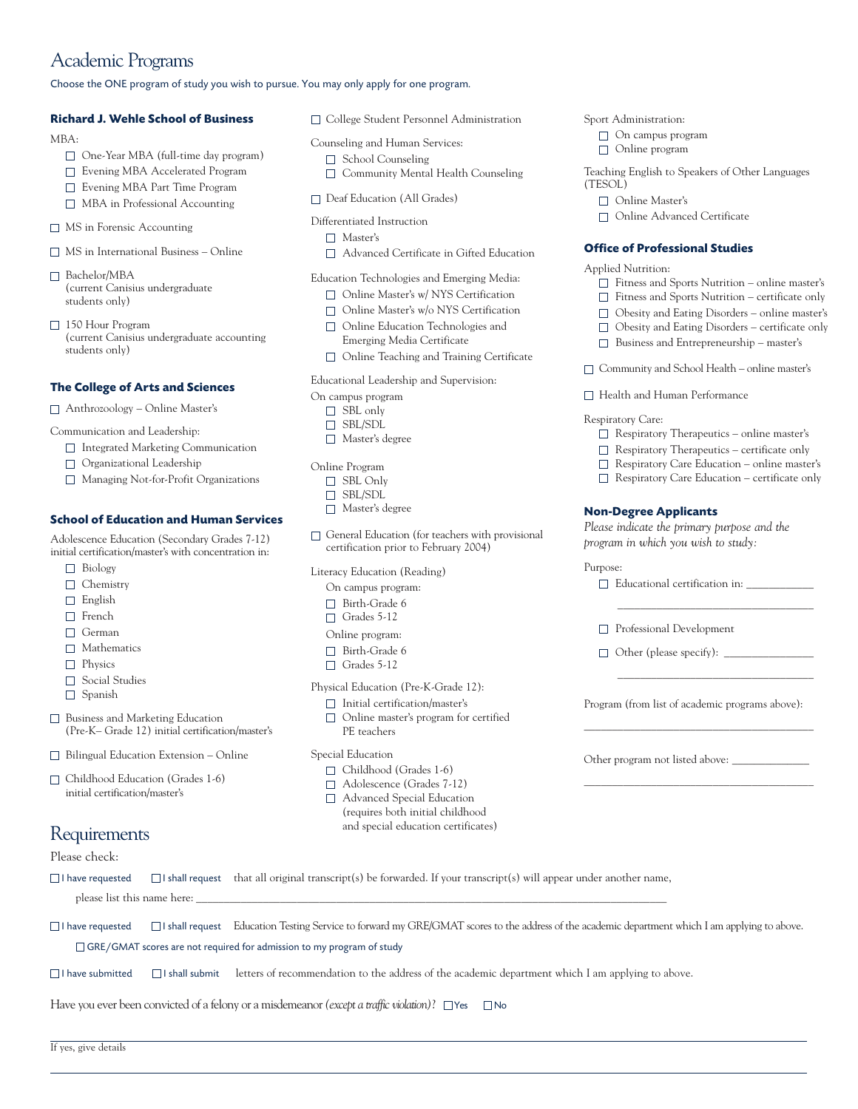### Academic Programs

Choose the ONE program of study you wish to pursue. You may only apply for one program.

#### **Richard J. Wehle School of Business**

MBA:

- One-Year MBA (full-time day program)
- □ Evening MBA Accelerated Program
- Evening MBA Part Time Program
- MBA in Professional Accounting
- □ MS in Forensic Accounting
- MS in International Business Online
- □ Bachelor/MBA (current Canisius undergraduate students only)
- □ 150 Hour Program (current Canisius undergraduate accounting students only)

#### **The College of Arts and Sciences**

Anthrozoology – Online Master's

Communication and Leadership:

- □ Integrated Marketing Communication
- Organizational Leadership
- Managing Not-for-Profit Organizations

#### **School of Education and Human Services**

Adolescence Education (Secondary Grades 7-12) initial certification/master's with concentration in:

- Biology
- □ Chemistry
- □ English
- □ French
- □ German
- $\Box$  Mathematics
- **Physics**
- □ Social Studies
- Spanish
- Business and Marketing Education (Pre-K– Grade 12) initial certification/master's
- $\Box$  Bilingual Education Extension Online
- Childhood Education (Grades 1-6) initial certification/master's

### Requirements

#### Please check:

If yes, give details

College Student Personnel Administration

- Counseling and Human Services:
	- School Counseling
	- □ Community Mental Health Counseling
- Deaf Education (All Grades)

#### Differentiated Instruction

- Master's
- Advanced Certificate in Gifted Education

#### Education Technologies and Emerging Media:

- Online Master's w/ NYS Certification
- □ Online Master's w/o NYS Certification
- Online Education Technologies and Emerging Media Certificate
- Online Teaching and Training Certificate

#### Educational Leadership and Supervision:

On campus program

- □ SBL only
- □ SBL/SDL
- Master's degree
- Online Program
- □ SBL Only
- □ SBL/SDL
- Master's degree
- $\Box$  General Education (for teachers with provisional certification prior to February 2004)

Literacy Education (Reading)

- On campus program:
- □ Birth-Grade 6
- $\Box$  Grades 5-12
- Online program:
- □ Birth-Grade 6
- Grades 5-12

Physical Education (Pre-K-Grade 12):

- □ Initial certification/master's
- □ Online master's program for certified PE teachers

#### Special Education

- Childhood (Grades 1-6)
- Adolescence (Grades 7-12)
- Advanced Special Education (requires both initial childhood and special education certificates)
- Sport Administration:
	- □ On campus program
	- Online program

Teaching English to Speakers of Other Languages (TESOL)

- Online Master's
- Online Advanced Certificate

#### **Office of Professional Studies**

Applied Nutrition:

- $\hfill\Box$  <br> Fitness and Sports Nutrition online master's
- Fitness and Sports Nutrition certificate only
- Obesity and Eating Disorders online master's
- Obesity and Eating Disorders certificate only
- $\Box$  Business and Entrepreneurship master's
- Community and School Health online master's
- □ Health and Human Performance

#### Respiratory Care:

- $\hfill\Box$  <br> Respiratory Therapeutics online master's
- $\Box$  Respiratory Therapeutics certificate only
- Respiratory Care Education online master's
- $\Box$  Respiratory Care Education certificate only

#### **Non-Degree Applicants**

*Please indicate the primary purpose and the program in which you wish to study:*

#### Purpose:



Program (from list of academic programs above): \_\_\_\_\_\_\_\_\_\_\_\_\_\_\_\_\_\_\_\_\_\_\_\_\_\_\_\_\_\_\_\_\_\_\_\_\_\_\_\_\_

\_\_\_\_\_\_\_\_\_\_\_\_\_\_\_\_\_\_\_\_\_\_\_\_\_\_\_\_\_\_\_\_\_\_\_\_\_\_\_\_\_

Other program not listed above: \_\_\_\_\_\_\_\_\_\_\_\_\_\_

 $\Box$  I have requested  $\Box$  I shall request that all original transcript(s) be forwarded. If your transcript(s) will appear under another name, please list this name here:

Have you ever been convicted of a felony or a misdemeanor *(except a traffic violation)*?  $\Box$  Yes  $\Box$  No

□I have requested □I shall request Education Testing Service to forward my GRE/GMAT scores to the address of the academic department which I am applying to above. □ GRE/GMAT scores are not required for admission to my program of study

 $\Box$  I have submitted  $\Box$  I shall submit letters of recommendation to the address of the academic department which I am applying to above.